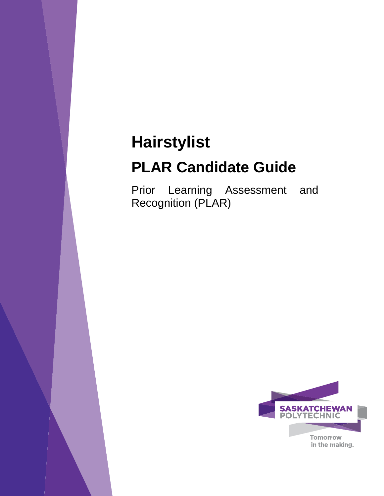# **Hairstylist**

# **PLAR Candidate Guide**

Prior Learning Assessment and Recognition (PLAR)

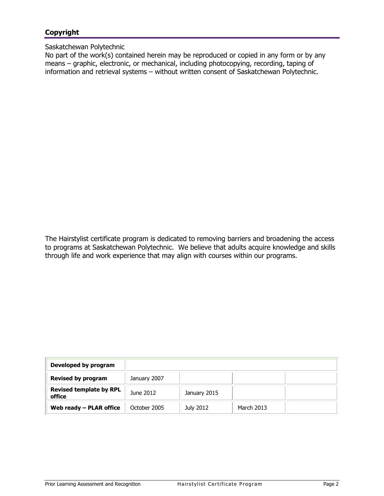# **Copyright**

## Saskatchewan Polytechnic

No part of the work(s) contained herein may be reproduced or copied in any form or by any means – graphic, electronic, or mechanical, including photocopying, recording, taping of information and retrieval systems – without written consent of Saskatchewan Polytechnic.

The Hairstylist certificate program is dedicated to removing barriers and broadening the access to programs at Saskatchewan Polytechnic. We believe that adults acquire knowledge and skills through life and work experience that may align with courses within our programs.

| Developed by program                     |              |              |            |  |
|------------------------------------------|--------------|--------------|------------|--|
| <b>Revised by program</b>                | January 2007 |              |            |  |
| <b>Revised template by RPL</b><br>office | June 2012    | January 2015 |            |  |
| Web ready $-$ PLAR office                | October 2005 | July 2012    | March 2013 |  |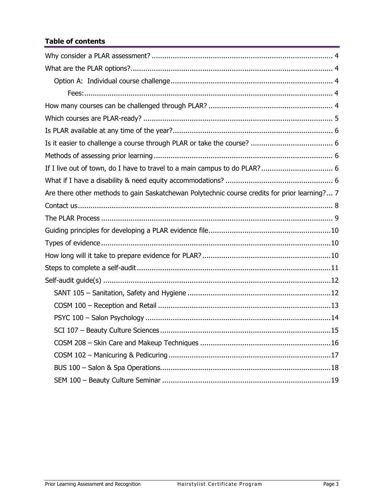# **Table of contents**

| Are there other methods to gain Saskatchewan Polytechnic course credits for prior learning? 7 |
|-----------------------------------------------------------------------------------------------|
|                                                                                               |
|                                                                                               |
|                                                                                               |
|                                                                                               |
|                                                                                               |
|                                                                                               |
|                                                                                               |
|                                                                                               |
|                                                                                               |
|                                                                                               |
|                                                                                               |
|                                                                                               |
|                                                                                               |
|                                                                                               |
|                                                                                               |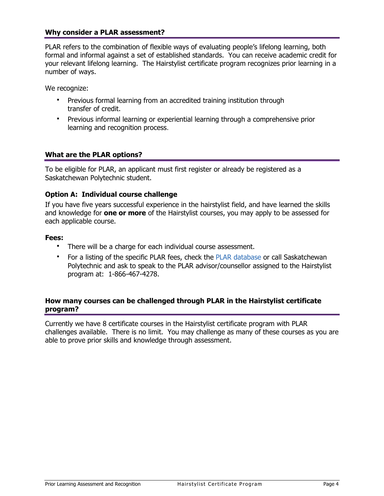## <span id="page-3-0"></span>**Why consider a PLAR assessment?**

PLAR refers to the combination of flexible ways of evaluating people's lifelong learning, both formal and informal against a set of established standards. You can receive academic credit for your relevant lifelong learning. The Hairstylist certificate program recognizes prior learning in a number of ways.

We recognize:

- Previous formal learning from an accredited training institution through transfer of credit.
- <span id="page-3-1"></span> Previous informal learning or experiential learning through a comprehensive prior learning and recognition process.

## **What are the PLAR options?**

To be eligible for PLAR, an applicant must first register or already be registered as a Saskatchewan Polytechnic student.

## **Option A: Individual course challenge**

If you have five years successful experience in the hairstylist field, and have learned the skills and knowledge for **one or more** of the Hairstylist courses, you may apply to be assessed for each applicable course.

#### **Fees:**

- <span id="page-3-3"></span><span id="page-3-2"></span>There will be a charge for each individual course assessment.
- For a listing of the specific PLAR fees, check the [PLAR database](https://webprod.siast.sk.ca:8000/ceroneprod/szpkplar.P_PLARInformation) or call Saskatchewan Polytechnic and ask to speak to the PLAR advisor/counsellor assigned to the Hairstylist program at: 1-866-467-4278.

## <span id="page-3-4"></span>**How many courses can be challenged through PLAR in the Hairstylist certificate program?**

Currently we have 8 certificate courses in the Hairstylist certificate program with PLAR challenges available. There is no limit. You may challenge as many of these courses as you are able to prove prior skills and knowledge through assessment.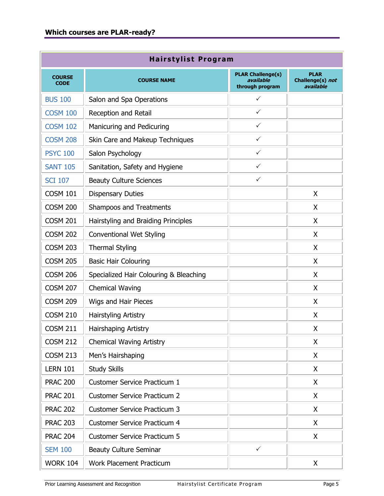<span id="page-4-0"></span>

| <b>Hairstylist Program</b>   |                                        |                                                          |                                              |  |  |  |  |
|------------------------------|----------------------------------------|----------------------------------------------------------|----------------------------------------------|--|--|--|--|
| <b>COURSE</b><br><b>CODE</b> | <b>COURSE NAME</b>                     | <b>PLAR Challenge(s)</b><br>available<br>through program | <b>PLAR</b><br>Challenge(s) not<br>available |  |  |  |  |
| <b>BUS 100</b>               | Salon and Spa Operations               | ✓                                                        |                                              |  |  |  |  |
| <b>COSM 100</b>              | Reception and Retail                   | $\checkmark$                                             |                                              |  |  |  |  |
| <b>COSM 102</b>              | Manicuring and Pedicuring              | $\checkmark$                                             |                                              |  |  |  |  |
| <b>COSM 208</b>              | Skin Care and Makeup Techniques        | $\checkmark$                                             |                                              |  |  |  |  |
| <b>PSYC 100</b>              | Salon Psychology                       | $\checkmark$                                             |                                              |  |  |  |  |
| <b>SANT 105</b>              | Sanitation, Safety and Hygiene         | $\checkmark$                                             |                                              |  |  |  |  |
| <b>SCI 107</b>               | <b>Beauty Culture Sciences</b>         | $\checkmark$                                             |                                              |  |  |  |  |
| <b>COSM 101</b>              | <b>Dispensary Duties</b>               |                                                          | X                                            |  |  |  |  |
| <b>COSM 200</b>              | <b>Shampoos and Treatments</b>         |                                                          | X                                            |  |  |  |  |
| <b>COSM 201</b>              | Hairstyling and Braiding Principles    |                                                          | X                                            |  |  |  |  |
| <b>COSM 202</b>              | <b>Conventional Wet Styling</b>        |                                                          | X                                            |  |  |  |  |
| <b>COSM 203</b>              | <b>Thermal Styling</b>                 |                                                          | X                                            |  |  |  |  |
| <b>COSM 205</b>              | <b>Basic Hair Colouring</b>            |                                                          | X                                            |  |  |  |  |
| <b>COSM 206</b>              | Specialized Hair Colouring & Bleaching |                                                          | X                                            |  |  |  |  |
| <b>COSM 207</b>              | <b>Chemical Waving</b>                 |                                                          | X                                            |  |  |  |  |
| <b>COSM 209</b>              | Wigs and Hair Pieces                   |                                                          | X                                            |  |  |  |  |
| <b>COSM 210</b>              | Hairstyling Artistry                   |                                                          | X                                            |  |  |  |  |
| <b>COSM 211</b>              | Hairshaping Artistry                   |                                                          | Χ                                            |  |  |  |  |
| <b>COSM 212</b>              | <b>Chemical Waving Artistry</b>        |                                                          | X                                            |  |  |  |  |
| <b>COSM 213</b>              | Men's Hairshaping                      |                                                          | X                                            |  |  |  |  |
| <b>LERN 101</b>              | <b>Study Skills</b>                    |                                                          | X                                            |  |  |  |  |
| <b>PRAC 200</b>              | Customer Service Practicum 1           |                                                          | X                                            |  |  |  |  |
| <b>PRAC 201</b>              | <b>Customer Service Practicum 2</b>    |                                                          | X                                            |  |  |  |  |
| <b>PRAC 202</b>              | <b>Customer Service Practicum 3</b>    |                                                          | Χ                                            |  |  |  |  |
| <b>PRAC 203</b>              | <b>Customer Service Practicum 4</b>    |                                                          | X                                            |  |  |  |  |
| <b>PRAC 204</b>              | <b>Customer Service Practicum 5</b>    |                                                          | X                                            |  |  |  |  |
| <b>SEM 100</b>               | <b>Beauty Culture Seminar</b>          | $\checkmark$                                             |                                              |  |  |  |  |
| <b>WORK 104</b>              | Work Placement Practicum               |                                                          | X                                            |  |  |  |  |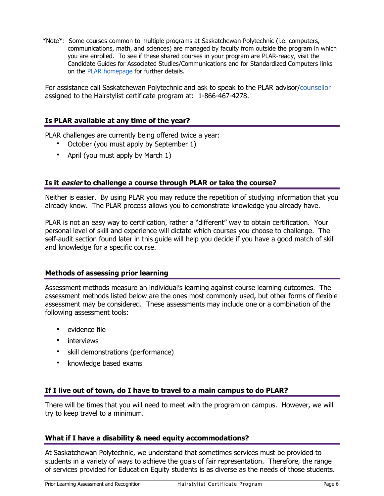\*Note\*: Some courses common to multiple programs at Saskatchewan Polytechnic (i.e. computers, communications, math, and sciences) are managed by faculty from outside the program in which you are enrolled. To see if these shared courses in your program are PLAR-ready, visit the Candidate Guides for Associated Studies/Communications and for Standardized Computers links on the [PLAR homepage](http://gosiast.com/admissions/resources/prior-learning-and-recognition.aspx) for further details.

For assistance call Saskatchewan Polytechnic and ask to speak to the PLAR advisor[/counsellor](#page-6-1) assigned to the Hairstylist certificate program at: 1-866-467-4278.

# **Is PLAR available at any time of the year?**

PLAR challenges are currently being offered twice a year:

- <span id="page-5-1"></span><span id="page-5-0"></span>October (you must apply by September 1)
- April (you must apply by March 1)

## **Is it easier to challenge a course through PLAR or take the course?**

Neither is easier. By using PLAR you may reduce the repetition of studying information that you already know. The PLAR process allows you to demonstrate knowledge you already have.

PLAR is not an easy way to certification, rather a "different" way to obtain certification. Your personal level of skill and experience will dictate which courses you choose to challenge. The self-audit section found later in this guide will help you decide if you have a good match of skill and knowledge for a specific course.

## <span id="page-5-2"></span>**Methods of assessing prior learning**

Assessment methods measure an individual's learning against course learning outcomes. The assessment methods listed below are the ones most commonly used, but other forms of flexible assessment may be considered. These assessments may include one or a combination of the following assessment tools:

- evidence file
- **·** interviews
- **s** skill demonstrations (performance)
- <span id="page-5-3"></span>**EXEC** knowledge based exams

## **If I live out of town, do I have to travel to a main campus to do PLAR?**

There will be times that you will need to meet with the program on campus. However, we will try to keep travel to a minimum.

## <span id="page-5-4"></span>**What if I have a disability & need equity accommodations?**

At Saskatchewan Polytechnic, we understand that sometimes services must be provided to students in a variety of ways to achieve the goals of fair representation. Therefore, the range of services provided for Education Equity students is as diverse as the needs of those students.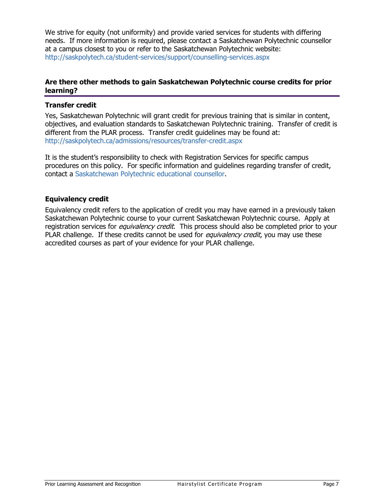We strive for equity (not uniformity) and provide varied services for students with differing needs. If more information is required, please contact a Saskatchewan Polytechnic counsellor at a campus closest to you or refer to the Saskatchewan Polytechnic website: <http://saskpolytech.ca/student-services/support/counselling-services.aspx>

## <span id="page-6-0"></span>**Are there other methods to gain Saskatchewan Polytechnic course credits for prior learning?**

## **Transfer credit**

Yes, Saskatchewan Polytechnic will grant credit for previous training that is similar in content, objectives, and evaluation standards to Saskatchewan Polytechnic training. Transfer of credit is different from the PLAR process. Transfer credit guidelines may be found at: <http://saskpolytech.ca/admissions/resources/transfer-credit.aspx>

It is the student's responsibility to check with Registration Services for specific campus procedures on this policy. For specific information and guidelines regarding transfer of credit, contact a [Saskatchewan Polytechnic](http://saskpolytech.ca/student-services/support/counselling-services.aspx) educational counsellor.

## **Equivalency credit**

<span id="page-6-1"></span>Equivalency credit refers to the application of credit you may have earned in a previously taken Saskatchewan Polytechnic course to your current Saskatchewan Polytechnic course. Apply at registration services for *equivalency credit*. This process should also be completed prior to your PLAR challenge. If these credits cannot be used for *equivalency credit*, you may use these accredited courses as part of your evidence for your PLAR challenge.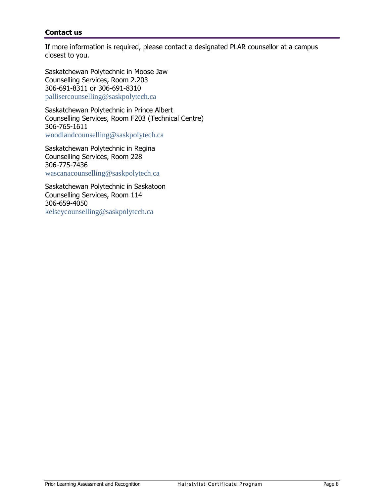# <span id="page-7-0"></span>**Contact us**

If more information is required, please contact a designated PLAR counsellor at a campus closest to you.

Saskatchewan Polytechnic in Moose Jaw Counselling Services, Room 2.203 306-691-8311 or 306-691-8310 [pallisercounselling@saskpolytech.ca](mailto:%20pallisercounselling@saskpolytech.ca)

Saskatchewan Polytechnic in Prince Albert Counselling Services, Room F203 (Technical Centre) 306-765-1611 [woodlandcounselling@saskpolytech.ca](mailto:%20woodlandcounselling@saskpolytech.ca)

Saskatchewan Polytechnic in Regina Counselling Services, Room 228 306-775-7436 [wascanacounselling@saskpolytech.ca](mailto:%20%20wascanacounselling@saskpolytech.ca)

Saskatchewan Polytechnic in Saskatoon Counselling Services, Room 114 306-659-4050 [kelseycounselling@saskpolytech.ca](mailto:%20kelseycounselling@saskpolytech.ca)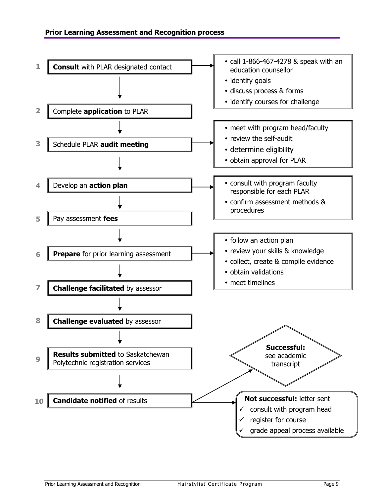<span id="page-8-2"></span><span id="page-8-1"></span><span id="page-8-0"></span>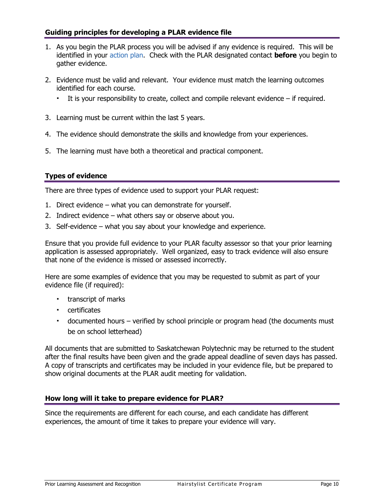# <span id="page-9-0"></span>**Guiding principles for developing a PLAR evidence file**

- 1. As you begin the PLAR process you will be advised if any evidence is required. This will be identified in your [action plan.](#page-8-1) Check with the PLAR designated contact **before** you begin to gather evidence.
- 2. Evidence must be valid and relevant. Your evidence must match the learning outcomes identified for each course.
	- It is your responsibility to create, collect and compile relevant evidence if required.
- 3. Learning must be current within the last 5 years.
- 4. The evidence should demonstrate the skills and knowledge from your experiences.
- 5. The learning must have both a theoretical and practical component.

# <span id="page-9-1"></span>**Types of evidence**

There are three types of evidence used to support your PLAR request:

- 1. Direct evidence what you can demonstrate for yourself.
- 2. Indirect evidence what others say or observe about you.
- 3. Self-evidence what you say about your knowledge and experience.

Ensure that you provide full evidence to your PLAR faculty assessor so that your prior learning application is assessed appropriately. Well organized, easy to track evidence will also ensure that none of the evidence is missed or assessed incorrectly.

Here are some examples of evidence that you may be requested to submit as part of your evidence file (if required):

- **transcript of marks**
- certificates
- documented hours verified by school principle or program head (the documents must be on school letterhead)

All documents that are submitted to Saskatchewan Polytechnic may be returned to the student after the final results have been given and the grade appeal deadline of seven days has passed. A copy of transcripts and certificates may be included in your evidence file, but be prepared to show original documents at the PLAR audit meeting for validation.

## <span id="page-9-2"></span>**How long will it take to prepare evidence for PLAR?**

Since the requirements are different for each course, and each candidate has different experiences, the amount of time it takes to prepare your evidence will vary.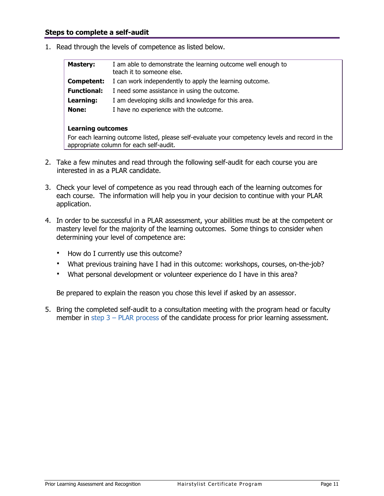1. Read through the levels of competence as listed below.

<span id="page-10-0"></span>

| <b>Mastery:</b>    | I am able to demonstrate the learning outcome well enough to<br>teach it to someone else. |  |  |  |  |  |
|--------------------|-------------------------------------------------------------------------------------------|--|--|--|--|--|
| Competent:         | I can work independently to apply the learning outcome.                                   |  |  |  |  |  |
| <b>Functional:</b> | I need some assistance in using the outcome.                                              |  |  |  |  |  |
| Learning:          | I am developing skills and knowledge for this area.                                       |  |  |  |  |  |
| None:              | I have no experience with the outcome.                                                    |  |  |  |  |  |
|                    | <b>Learning outcomes</b>                                                                  |  |  |  |  |  |

For each learning outcome listed, please self-evaluate your competency levels and record in the appropriate column for each self-audit.

- 2. Take a few minutes and read through the following self-audit for each course you are interested in as a PLAR candidate.
- 3. Check your level of competence as you read through each of the learning outcomes for each course. The information will help you in your decision to continue with your PLAR application.
- 4. In order to be successful in a PLAR assessment, your abilities must be at the competent or mastery level for the majority of the learning outcomes. Some things to consider when determining your level of competence are:
	- How do I currently use this outcome?
	- What previous training have I had in this outcome: workshops, courses, on-the-job?
	- What personal development or volunteer experience do I have in this area?

Be prepared to explain the reason you chose this level if asked by an assessor.

5. Bring the completed self-audit to a consultation meeting with the program head or faculty member in step  $3$  – [PLAR process](#page-8-2) of the candidate process for prior learning assessment.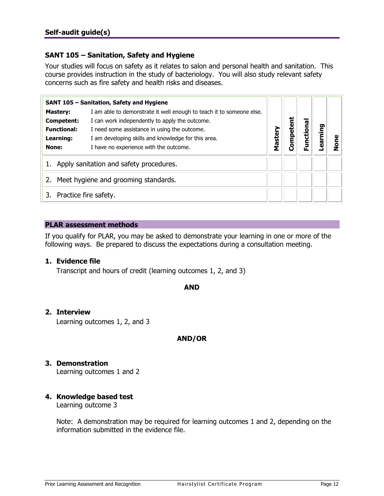# <span id="page-11-2"></span><span id="page-11-1"></span><span id="page-11-0"></span>**SANT 105 – Sanitation, Safety and Hygiene**

Your studies will focus on safety as it relates to salon and personal health and sanitation. This course provides instruction in the study of bacteriology. You will also study relevant safety concerns such as fire safety and health risks and diseases.

|                             | SANT 105 - Sanitation, Safety and Hygiene                            |         |        |        |      |   |
|-----------------------------|----------------------------------------------------------------------|---------|--------|--------|------|---|
| <b>Mastery:</b>             | I am able to demonstrate it well enough to teach it to someone else. |         |        |        |      |   |
| Competent:                  | I can work independently to apply the outcome.                       |         | ä      | ēq     |      |   |
| <b>Functional:</b>          | I need some assistance in using the outcome.                         |         |        |        | ping |   |
| Learning:                   | I am developing skills and knowledge for this area.                  | Mastery | Compet | unctio | ក្លិ |   |
| None:                       | I have no experience with the outcome.                               |         |        |        |      | ō |
|                             | Apply sanitation and safety procedures.                              |         |        |        |      |   |
| 2.                          | Meet hygiene and grooming standards.                                 |         |        |        |      |   |
| Practice fire safety.<br>3. |                                                                      |         |        |        |      |   |

## **PLAR assessment methods**

If you qualify for PLAR, you may be asked to demonstrate your learning in one or more of the following ways. Be prepared to discuss the expectations during a consultation meeting.

## **1. Evidence file**

Transcript and hours of credit (learning outcomes 1, 2, and 3)

## **AND**

## **2. Interview**

Learning outcomes 1, 2, and 3

# **AND/OR**

# **3. Demonstration**

Learning outcomes 1 and 2

# **4. Knowledge based test**

Learning outcome 3

Note: A demonstration may be required for learning outcomes 1 and 2, depending on the information submitted in the evidence file.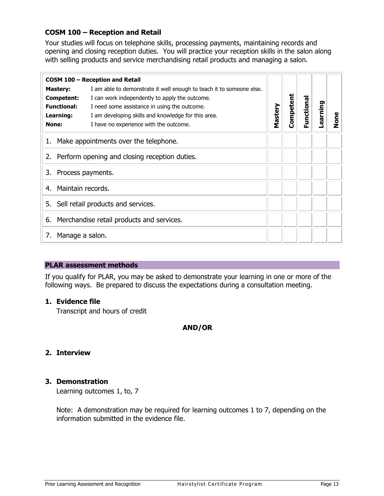# <span id="page-12-1"></span><span id="page-12-0"></span>**COSM 100 – Reception and Retail**

Your studies will focus on telephone skills, processing payments, maintaining records and opening and closing reception duties. You will practice your reception skills in the salon along with selling products and service merchandising retail products and managing a salon.

|                                                  | COSM 100 - Reception and Retail                                      |         |           |            |          |      |
|--------------------------------------------------|----------------------------------------------------------------------|---------|-----------|------------|----------|------|
| <b>Mastery:</b>                                  | I am able to demonstrate it well enough to teach it to someone else. |         |           |            |          |      |
| <b>Competent:</b>                                | I can work independently to apply the outcome.                       |         | Competent | Functional |          |      |
| <b>Functional:</b>                               | I need some assistance in using the outcome.                         | Mastery |           |            | earning- |      |
| Learning:                                        | I am developing skills and knowledge for this area.                  |         |           |            |          | None |
| None:                                            | I have no experience with the outcome.                               |         |           |            |          |      |
|                                                  | 1. Make appointments over the telephone.                             |         |           |            |          |      |
| 2. Perform opening and closing reception duties. |                                                                      |         |           |            |          |      |
| Process payments.<br>3.                          |                                                                      |         |           |            |          |      |
| Maintain records.<br>4.                          |                                                                      |         |           |            |          |      |
| 5.                                               | Sell retail products and services.                                   |         |           |            |          |      |
|                                                  | 6. Merchandise retail products and services.                         |         |           |            |          |      |
| Manage a salon.<br>7.                            |                                                                      |         |           |            |          |      |

## **PLAR assessment methods**

If you qualify for PLAR, you may be asked to demonstrate your learning in one or more of the following ways. Be prepared to discuss the expectations during a consultation meeting.

## **1. Evidence file**

Transcript and hours of credit

# **AND/OR**

# **2. Interview**

# **3. Demonstration**

Learning outcomes 1, to, 7

Note: A demonstration may be required for learning outcomes 1 to 7, depending on the information submitted in the evidence file.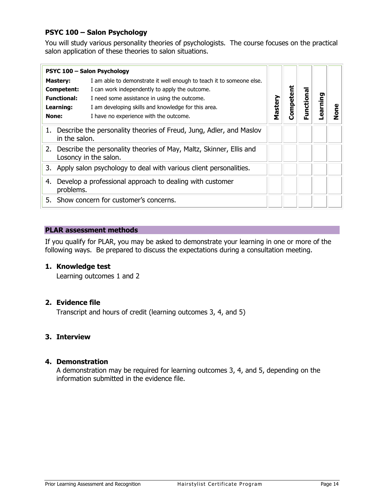# <span id="page-13-1"></span><span id="page-13-0"></span>**PSYC 100 – Salon Psychology**

You will study various personality theories of psychologists. The course focuses on the practical salon application of these theories to salon situations.

|                                                                                         | PSYC 100 - Salon Psychology                                                                     |         |           |          |         |        |
|-----------------------------------------------------------------------------------------|-------------------------------------------------------------------------------------------------|---------|-----------|----------|---------|--------|
| <b>Mastery:</b>                                                                         | I am able to demonstrate it well enough to teach it to someone else.                            |         |           |          |         |        |
| Competent:                                                                              | I can work independently to apply the outcome.                                                  |         |           |          |         |        |
| <b>Functional:</b>                                                                      | I need some assistance in using the outcome.                                                    |         | Competent | unctiona | earning |        |
| Learning:                                                                               | I am developing skills and knowledge for this area.                                             | Mastery |           |          |         |        |
| None:                                                                                   | I have no experience with the outcome.                                                          |         |           | ட்       |         | č<br>2 |
| 1. Describe the personality theories of Freud, Jung, Adler, and Maslov<br>in the salon. |                                                                                                 |         |           |          |         |        |
|                                                                                         | 2. Describe the personality theories of May, Maltz, Skinner, Ellis and<br>Losoncy in the salon. |         |           |          |         |        |
|                                                                                         | 3. Apply salon psychology to deal with various client personalities.                            |         |           |          |         |        |
| 4.<br>problems.                                                                         | Develop a professional approach to dealing with customer                                        |         |           |          |         |        |
|                                                                                         | 5. Show concern for customer's concerns.                                                        |         |           |          |         |        |

## **PLAR assessment methods**

If you qualify for PLAR, you may be asked to demonstrate your learning in one or more of the following ways. Be prepared to discuss the expectations during a consultation meeting.

## **1. Knowledge test**

Learning outcomes 1 and 2

## **2. Evidence file**

Transcript and hours of credit (learning outcomes 3, 4, and 5)

# **3. Interview**

## **4. Demonstration**

A demonstration may be required for learning outcomes 3, 4, and 5, depending on the information submitted in the evidence file.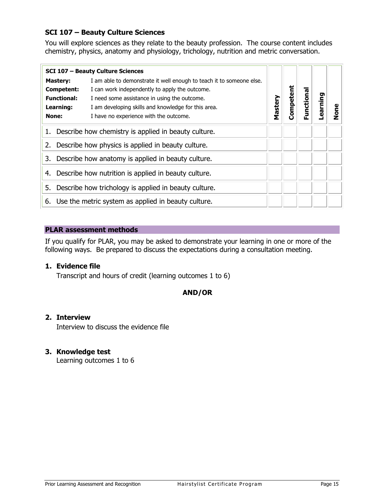# <span id="page-14-1"></span><span id="page-14-0"></span>**SCI 107 – Beauty Culture Sciences**

You will explore sciences as they relate to the beauty profession. The course content includes chemistry, physics, anatomy and physiology, trichology, nutrition and metric conversation.

|                                                          | <b>SCI 107 - Beauty Culture Sciences</b>                             |         |       |           |         |      |
|----------------------------------------------------------|----------------------------------------------------------------------|---------|-------|-----------|---------|------|
| <b>Mastery:</b>                                          | I am able to demonstrate it well enough to teach it to someone else. |         |       |           |         |      |
| Competent:                                               | I can work independently to apply the outcome.                       |         | etent |           |         |      |
| <b>Functional:</b>                                       | I need some assistance in using the outcome.                         |         |       |           |         |      |
| Learning:                                                | I am developing skills and knowledge for this area.                  | Mastery | Comp  | unctional | earning | lone |
| None:                                                    | I have no experience with the outcome.                               |         |       | ட்        |         |      |
| 1.                                                       | Describe how chemistry is applied in beauty culture.                 |         |       |           |         |      |
| Describe how physics is applied in beauty culture.<br>2. |                                                                      |         |       |           |         |      |
| Describe how anatomy is applied in beauty culture.<br>3. |                                                                      |         |       |           |         |      |
| 4.                                                       | Describe how nutrition is applied in beauty culture.                 |         |       |           |         |      |
| 5.                                                       | Describe how trichology is applied in beauty culture.                |         |       |           |         |      |
|                                                          | 6. Use the metric system as applied in beauty culture.               |         |       |           |         |      |

## **PLAR assessment methods**

If you qualify for PLAR, you may be asked to demonstrate your learning in one or more of the following ways. Be prepared to discuss the expectations during a consultation meeting.

# **1. Evidence file**

Transcript and hours of credit (learning outcomes 1 to 6)

# **AND/OR**

## **2. Interview**

Interview to discuss the evidence file

# **3. Knowledge test**

Learning outcomes 1 to 6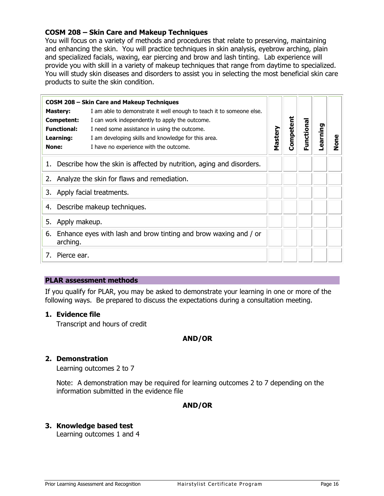# <span id="page-15-1"></span><span id="page-15-0"></span>**COSM 208 – Skin Care and Makeup Techniques**

You will focus on a variety of methods and procedures that relate to preserving, maintaining and enhancing the skin. You will practice techniques in skin analysis, eyebrow arching, plain and specialized facials, waxing, ear piercing and brow and lash tinting. Lab experience will provide you with skill in a variety of makeup techniques that range from daytime to specialized. You will study skin diseases and disorders to assist you in selecting the most beneficial skin care products to suite the skin condition.

|                                                | <b>COSM 208 - Skin Care and Makeup Techniques</b>                    |         |           |           |          |      |
|------------------------------------------------|----------------------------------------------------------------------|---------|-----------|-----------|----------|------|
| <b>Mastery:</b>                                | I am able to demonstrate it well enough to teach it to someone else. |         |           |           |          |      |
| Competent:                                     | I can work independently to apply the outcome.                       |         | Competent |           |          |      |
| <b>Functional:</b>                             | I need some assistance in using the outcome.                         |         |           | unctional | Learning |      |
| Learning:                                      | I am developing skills and knowledge for this area.                  | Mastery |           |           |          | None |
| <b>None:</b>                                   | I have no experience with the outcome.                               |         |           | 正         |          |      |
| 1.                                             | Describe how the skin is affected by nutrition, aging and disorders. |         |           |           |          |      |
| 2. Analyze the skin for flaws and remediation. |                                                                      |         |           |           |          |      |
| Apply facial treatments.<br>3.                 |                                                                      |         |           |           |          |      |
| Describe makeup techniques.<br>4.              |                                                                      |         |           |           |          |      |
| 5.                                             | Apply makeup.                                                        |         |           |           |          |      |
| 6.<br>arching.                                 | Enhance eyes with lash and brow tinting and brow waxing and / or     |         |           |           |          |      |
| 7.                                             | Pierce ear.                                                          |         |           |           |          |      |

## **PLAR assessment methods**

If you qualify for PLAR, you may be asked to demonstrate your learning in one or more of the following ways. Be prepared to discuss the expectations during a consultation meeting.

## **1. Evidence file**

Transcript and hours of credit

## **AND/OR**

#### **2. Demonstration**

Learning outcomes 2 to 7

Note: A demonstration may be required for learning outcomes 2 to 7 depending on the information submitted in the evidence file

## **AND/OR**

## **3. Knowledge based test**

Learning outcomes 1 and 4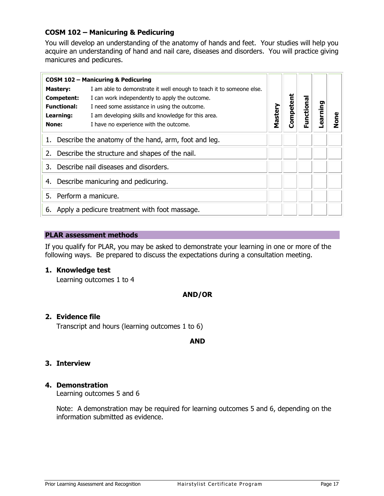# <span id="page-16-1"></span><span id="page-16-0"></span>**COSM 102 – Manicuring & Pedicuring**

You will develop an understanding of the anatomy of hands and feet. Your studies will help you acquire an understanding of hand and nail care, diseases and disorders. You will practice giving manicures and pedicures.

|                                                         | <b>COSM 102 - Manicuring &amp; Pedicuring</b>                        |         |           |           |         |             |
|---------------------------------------------------------|----------------------------------------------------------------------|---------|-----------|-----------|---------|-------------|
| <b>Mastery:</b>                                         | I am able to demonstrate it well enough to teach it to someone else. |         |           |           |         |             |
| Competent:                                              | I can work independently to apply the outcome.                       |         |           |           |         |             |
| <b>Functional:</b>                                      | I need some assistance in using the outcome.                         |         |           |           |         |             |
| Learning:                                               | I am developing skills and knowledge for this area.                  | Mastery | Competent | Functiona | earning | <b>e</b> no |
| None:                                                   | I have no experience with the outcome.                               |         |           |           |         |             |
| 1. Describe the anatomy of the hand, arm, foot and leg. |                                                                      |         |           |           |         |             |
|                                                         | 2. Describe the structure and shapes of the nail.                    |         |           |           |         |             |
| 3.                                                      | Describe nail diseases and disorders.                                |         |           |           |         |             |
| 4.                                                      | Describe manicuring and pedicuring.                                  |         |           |           |         |             |
| 5.                                                      | Perform a manicure.                                                  |         |           |           |         |             |
| 6.                                                      | Apply a pedicure treatment with foot massage.                        |         |           |           |         |             |

## **PLAR assessment methods**

If you qualify for PLAR, you may be asked to demonstrate your learning in one or more of the following ways. Be prepared to discuss the expectations during a consultation meeting.

## **1. Knowledge test**

Learning outcomes 1 to 4

## **AND/OR**

## **2. Evidence file**

Transcript and hours (learning outcomes 1 to 6)

**AND**

## **3. Interview**

## **4. Demonstration**

Learning outcomes 5 and 6

Note: A demonstration may be required for learning outcomes 5 and 6, depending on the information submitted as evidence.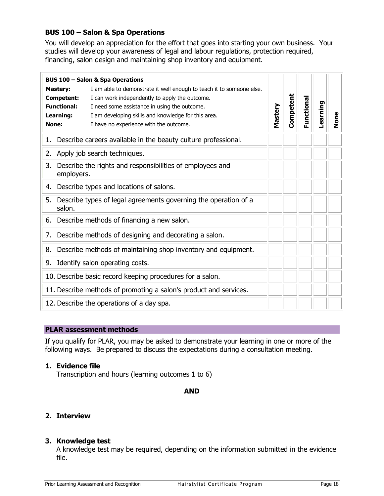# <span id="page-17-1"></span><span id="page-17-0"></span>**BUS 100 – Salon & Spa Operations**

You will develop an appreciation for the effort that goes into starting your own business. Your studies will develop your awareness of legal and labour regulations, protection required, financing, salon design and maintaining shop inventory and equipment.

|                                                                                  | <b>BUS 100 - Salon &amp; Spa Operations</b>                                                                                                                                                                                                                             |         |           |            |          |      |
|----------------------------------------------------------------------------------|-------------------------------------------------------------------------------------------------------------------------------------------------------------------------------------------------------------------------------------------------------------------------|---------|-----------|------------|----------|------|
| <b>Mastery:</b><br><b>Competent:</b><br><b>Functional:</b><br>Learning:<br>None: | I am able to demonstrate it well enough to teach it to someone else.<br>I can work independently to apply the outcome.<br>I need some assistance in using the outcome.<br>I am developing skills and knowledge for this area.<br>I have no experience with the outcome. | Mastery | Competent | Functional | Learning | None |
|                                                                                  | 1. Describe careers available in the beauty culture professional.                                                                                                                                                                                                       |         |           |            |          |      |
|                                                                                  | 2. Apply job search techniques.                                                                                                                                                                                                                                         |         |           |            |          |      |
| 3.<br>employers.                                                                 | Describe the rights and responsibilities of employees and                                                                                                                                                                                                               |         |           |            |          |      |
| Describe types and locations of salons.<br>4.                                    |                                                                                                                                                                                                                                                                         |         |           |            |          |      |
| 5.<br>salon.                                                                     | Describe types of legal agreements governing the operation of a                                                                                                                                                                                                         |         |           |            |          |      |
|                                                                                  | 6. Describe methods of financing a new salon.                                                                                                                                                                                                                           |         |           |            |          |      |
| 7.                                                                               | Describe methods of designing and decorating a salon.                                                                                                                                                                                                                   |         |           |            |          |      |
|                                                                                  | 8. Describe methods of maintaining shop inventory and equipment.                                                                                                                                                                                                        |         |           |            |          |      |
| 9.                                                                               | Identify salon operating costs.                                                                                                                                                                                                                                         |         |           |            |          |      |
|                                                                                  | 10. Describe basic record keeping procedures for a salon.                                                                                                                                                                                                               |         |           |            |          |      |
|                                                                                  | 11. Describe methods of promoting a salon's product and services.                                                                                                                                                                                                       |         |           |            |          |      |
|                                                                                  | 12. Describe the operations of a day spa.                                                                                                                                                                                                                               |         |           |            |          |      |

## **PLAR assessment methods**

If you qualify for PLAR, you may be asked to demonstrate your learning in one or more of the following ways. Be prepared to discuss the expectations during a consultation meeting.

# **1. Evidence file**

Transcription and hours (learning outcomes 1 to 6)

## **AND**

# **2. Interview**

## **3. Knowledge test**

A knowledge test may be required, depending on the information submitted in the evidence file.